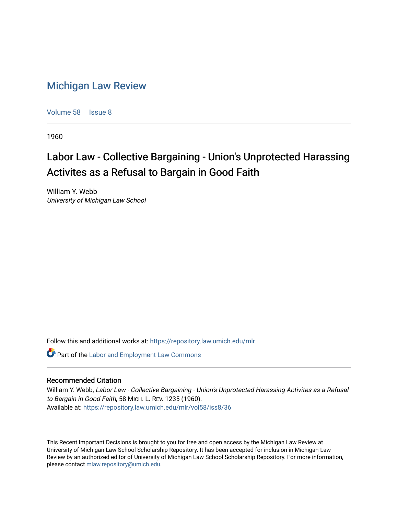## [Michigan Law Review](https://repository.law.umich.edu/mlr)

[Volume 58](https://repository.law.umich.edu/mlr/vol58) | [Issue 8](https://repository.law.umich.edu/mlr/vol58/iss8)

1960

## Labor Law - Collective Bargaining - Union's Unprotected Harassing Activites as a Refusal to Bargain in Good Faith

William Y. Webb University of Michigan Law School

Follow this and additional works at: [https://repository.law.umich.edu/mlr](https://repository.law.umich.edu/mlr?utm_source=repository.law.umich.edu%2Fmlr%2Fvol58%2Fiss8%2F36&utm_medium=PDF&utm_campaign=PDFCoverPages) 

**Part of the [Labor and Employment Law Commons](http://network.bepress.com/hgg/discipline/909?utm_source=repository.law.umich.edu%2Fmlr%2Fvol58%2Fiss8%2F36&utm_medium=PDF&utm_campaign=PDFCoverPages)** 

## Recommended Citation

William Y. Webb, Labor Law - Collective Bargaining - Union's Unprotected Harassing Activites as a Refusal to Bargain in Good Faith, 58 MICH. L. REV. 1235 (1960). Available at: [https://repository.law.umich.edu/mlr/vol58/iss8/36](https://repository.law.umich.edu/mlr/vol58/iss8/36?utm_source=repository.law.umich.edu%2Fmlr%2Fvol58%2Fiss8%2F36&utm_medium=PDF&utm_campaign=PDFCoverPages) 

This Recent Important Decisions is brought to you for free and open access by the Michigan Law Review at University of Michigan Law School Scholarship Repository. It has been accepted for inclusion in Michigan Law Review by an authorized editor of University of Michigan Law School Scholarship Repository. For more information, please contact [mlaw.repository@umich.edu.](mailto:mlaw.repository@umich.edu)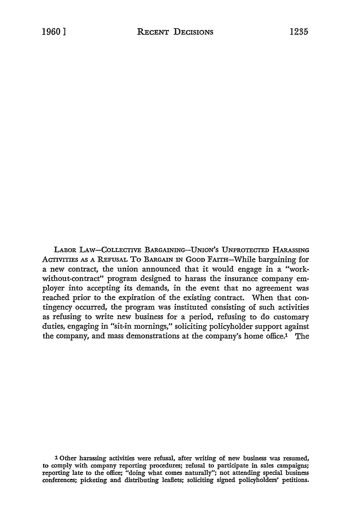LABOR LAW-COLLECTIVE BARGAINING-UNION'S UNPROTECTED HARASSING ACTIVITIES AS A REFUSAL To BARGAIN IN Goon FAITH-While bargaining for a new contract, the union announced that it would engage in a "workwithout-contract" program designed to harass the insurance company employer into accepting its demands, in the event that no agreement was reached prior to the expiration of the existing contract. When that contingency occurred, the program was instituted consisting of such activities as refusing to write new business for a period, refusing to do customary duties, engaging in "sit-in mornings," soliciting policyholder support against the company, and mass demonstrations at the company's home office.1 The

<sup>1</sup> Other harassing activities were refusal, after writing of new business was resumed, **to** comply with company reporting procedures; refusal to participate in sales campaigns; reporting late to the office; "doing what comes naturally"; not attending special business conferences; picketing and distributing leaflets; soliciting signed policyholders' petitions.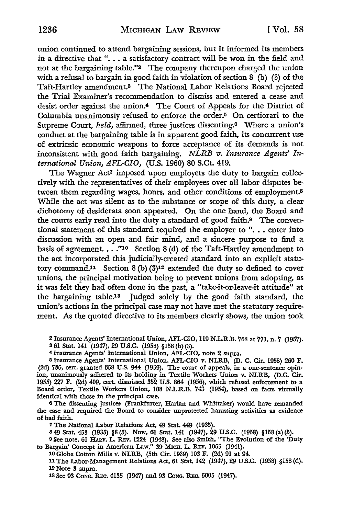union continued *to* attend bargaining sessions, but it informed its members in a directive that " $\ldots$  a satisfactory contract will be won in the field and not at the bargaining table."2 The company thereupon charged the union with a refusal to bargain in good faith in violation of section  $8$  (b) (3) of the Taft-Hartley amendment.<sup>3</sup> The National Labor Relations Board rejected the Trial Examiner's recommendation to dismiss and entered a cease and desist order against the union.4 The Court of Appeals for the District of Columbia unanimously refused *to* enforce the order.5 **On** certiorari *to* the Supreme Court, *held,* affirmed, three justices dissenting.6 Where a union's conduct at the bargaining table is in apparent good faith, its concurrent use of extrinsic economic weapons to force acceptance of its demands is not inconsistent with good faith bargaining. *NLRB v. Insurance Agents' lnternational Union, AFL-CIO, (U.S. 1960) 80 S.Ct. 419.* 

The Wagner Act<sup>7</sup> imposed upon employers the duty to bargain collectively with the representatives of their employees over all labor disputes between them regarding wages, hours, and other conditions of employment.<sup>8</sup> While the act was silent as to the substance or scope of this duty, a clear dichotomy 0£ desiderata soon appeared. On the one hand, the Board and the courts early read into the duty a standard of good faith.9 The conventional statement of this standard required the employer to " $\dots$  enter into discussion with an open and fair mind, and a sincere purpose to find a basis of agreement.  $\ldots$ ."<sup>10</sup> Section 8 (d) of the Taft-Hartley amendment to the act incorporated this judicially-created standard into an explicit statutory command.<sup>11</sup> Section 8 (b)  $(3)^{12}$  extended the duty so defined to cover unions, the principal motivation being to prevent unions from adopting, as it was felt they had often done in the past, a "take-it-or-leave-it attitude" at the bargaining table.13 Judged solely by the good faith standard, the union's actions in the principal case may not have met the statutory requirement. As the quoted directive to its members clearly shows, the union took

<sup>2</sup>Insurance Agents' International Union, AFL-CIO, 119 NL.R.B. 768 at 771, n. 7 (1957). s 61 Stat. 141 (1947), 29 U.S.C. (1958) §158 (b)(3).

4 Insurance Agents' International Union, AFL-CIO, note 2 supra.

<sup>5</sup>Insurance Agents' International Union, AFL-CIO v. NLRB, (D. C. Cir. 1958) 260 F. (2d) 736, cert. granted 358 U.S. 944 (1959). The court of appeals, in a one-sentence opinion, unanimously adhered to its holding in Textile Workers Union v. NLRB, (D.C. Cir. 1955) 227 F. (2d) 409, cert. dismissed 352 U.S. 864 (1956), which refused enforcement to a Board order, Textile Workers Union, 108 NL.R.B. 743 (1954), based on facts virtually identical with those in the principal case.

<sup>6</sup>The dissenting justices (Frankfurter, Harlan and Whittaker) would have remanded the case and required the Board to consider unprotected harassing activities as evidence of bad faith.

7 The National Labor Relations Act, 49 Stat. 449 (1935).

s 49 Stat. 453 (1935) §8 (5). Now, 61 Stat. 141 (1947), 29 U.S.C. (1958) §158 (a) (5).

9 See note, 61 HARV. L. REV. 1224 (1948). See also Smith, "The Evolution of the 'Duty to Bargain' Concept in American Law," 39 MICH. L. REV. 1065 (1941).

10 Globe Cotton Mills v. NLRB, (5th Cir. 1939) 103 F. (2d) 91 at 94.

11 The Labor-Management Relations Act, 61 Stat. 142 (1947), 29 U.S.C. (1958) §158 (d). 12 Note 3 supra.

13 See 93 CoNG. REc. 4135 (1947) and 93 CoNG. REc. 5005 (1947).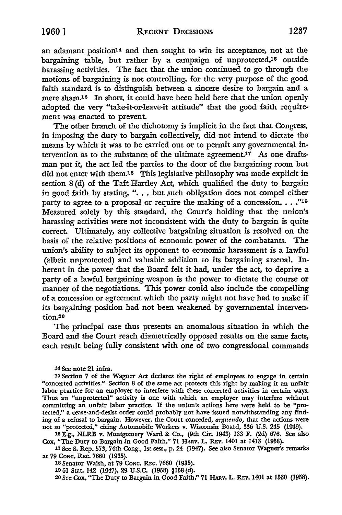an adamant position<sup>14</sup> and then sought to win its acceptance, not at the bargaining table, but rather by a campaign of unprotected,<sup>15</sup> outside harassing activities. The fact that the union continued to go through the motions of bargaining is not controlling, for the very purpose of the good faith standard is to distinguish between a sincere desire to bargain and a mere sham.<sup>16</sup> In short, it could have been held here that the union openly adopted the very "take-it-or-leave-it attitude" that the good faith requirement was enacted to prevent.

The other branch of the dichotomy is implicit in the fact that Congress, in imposing the duty to bargain collectively, did not intend to dictate the means by which it was to be carried out or to permit any governmental intervention as to the substance of the ultimate agreement.<sup>17</sup> As one draftsman put it, the act led the parties to the door of the bargaining room but did not enter with them.<sup>18</sup> This legislative philosophy was made explicit in section 8 (d) of the Taft-Hartley *Act,* which qualified the duty to bargain in good faith by stating, ". . . but such obligation does not compel either party to agree to a proposal or require the making of a concession...."<sup>19</sup> Measured solely by this standard, the Court's holding that the union's harassing activities were not inconsistent with the duty to bargain is quite correct. Ultimately, any collective bargaining situation is resolved on the basis of the relative positions of economic power of the combatants. The union's ability to subject its opponent to economic harassment is a lawful (albeit unprotected) and valuable addition to its bargaining arsenal. Inherent in the power that the Board felt it had, under the act, to deprive a party of a lawful bargaining weapon is the power to dictate the course or manner of the negotiations. This power could also include the compelling of a concession or agreement which the party might not have had to make if its bargaining position had not been weakened by governmental intervention.20

The principal case thus presents an anomalous situation in which the Board and the Court reach diametrically opposed results on the same facts, each result being fully consistent with one of two congressional commands

14 See note 21 infra.

15 Section 7 of the Wagner Act declares the right of employees to engage in certain "concerted activities." Section 8 of the same act protects this right by making it an unfair labor practice for an employer to interfere with these concerted activities in certain ways. Thus an "unprotected" activity is one with which an employer may interfere without committing an unfair labor practice. If the union's actions here were held to be "protected," a cease-and-desist order could probably not have issued notwithstanding any finding of a refusal to bargain. However, the Court conceded, *arguendo,* that the actions were not so "protected," citing Automobile Workers v. Wisconsin Board, 336 U.S. 245 (1949).

16 E.g., NLRB v. Montgomery Ward & Co., (9th Cir\_ 1943) 133 F. (2d) 676. See also Cox, "The Duty to Bargain in Good Faith," 71 HARV. L. *REV.* 1401 at 1413 (1958).

18 Senator Walsh, at 79 CONG. REc. 7660 (1935).

10 61 Stat. 142 (1947), 29 U.S.C. (1958) §158 (d).

20 See Cox, "The Duty to Bargain in Good Faith," 71 HAR.v. L. *REv.* 1401 at 1530 (1958).

<sup>17</sup> See S. Rep. 573, 74th Cong., 1st sess., p. 24 (1947). See also Senator Wagner's remarks at 79 CONG. REc. 7660 (1935).